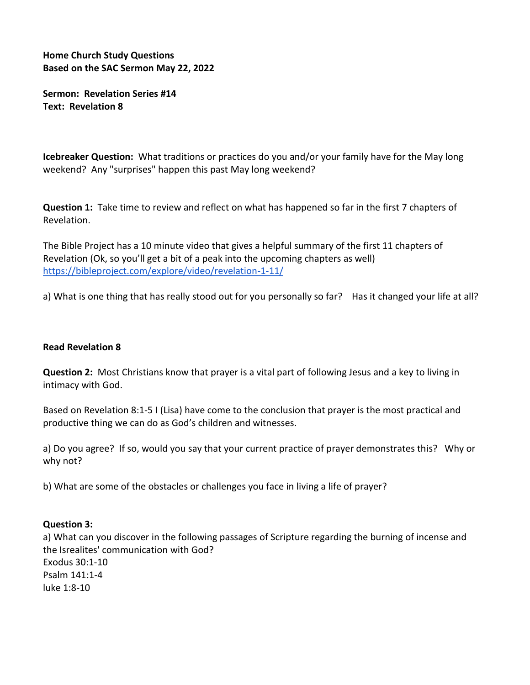**Home Church Study Questions Based on the SAC Sermon May 22, 2022**

**Sermon: Revelation Series #14 Text: Revelation 8**

**Icebreaker Question:** What traditions or practices do you and/or your family have for the May long weekend? Any "surprises" happen this past May long weekend?

**Question 1:** Take time to review and reflect on what has happened so far in the first 7 chapters of Revelation.

The Bible Project has a 10 minute video that gives a helpful summary of the first 11 chapters of Revelation (Ok, so you'll get a bit of a peak into the upcoming chapters as well) <https://bibleproject.com/explore/video/revelation-1-11/>

a) What is one thing that has really stood out for you personally so far? Has it changed your life at all?

## **Read Revelation 8**

**Question 2:** Most Christians know that prayer is a vital part of following Jesus and a key to living in intimacy with God.

Based on Revelation 8:1-5 I (Lisa) have come to the conclusion that prayer is the most practical and productive thing we can do as God's children and witnesses.

a) Do you agree? If so, would you say that your current practice of prayer demonstrates this? Why or why not?

b) What are some of the obstacles or challenges you face in living a life of prayer?

## **Question 3:**

a) What can you discover in the following passages of Scripture regarding the burning of incense and the Isrealites' communication with God? Exodus 30:1-10 Psalm 141:1-4 luke 1:8-10